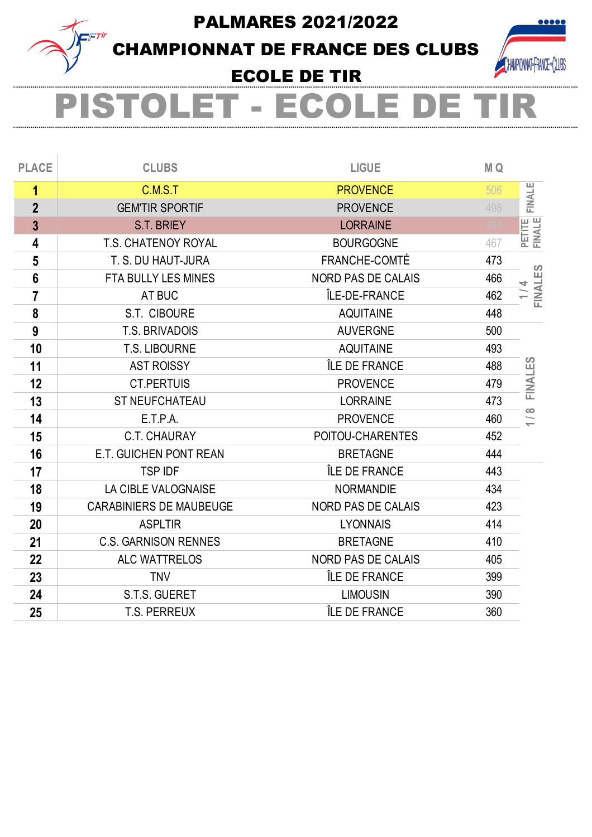PALMARES 2021/2022



CHAMPIONNAT DE FRANCE DES CLUBS



## ECOLE DE TIR

## .ET - ECOLE DE

| <b>CLUBS</b>                   | <b>LIGUE</b>              | M Q |               |
|--------------------------------|---------------------------|-----|---------------|
| C.M.S.T                        | <b>PROVENCE</b>           | 506 | <b>FINALE</b> |
| <b>GEM'TIR SPORTIF</b>         | <b>PROVENCE</b>           | 498 |               |
| S.T. BRIEY                     | <b>LORRAINE</b>           |     | PETITE        |
| <b>T.S. CHATENOY ROYAL</b>     | <b>BOURGOGNE</b>          | 467 |               |
| T. S. DU HAUT-JURA             | <b>FRANCHE-COMTÉ</b>      | 473 |               |
| <b>FTA BULLY LES MINES</b>     | <b>NORD PAS DE CALAIS</b> | 466 | FINALES       |
| AT BUC                         | ÎLE-DE-FRANCE             | 462 |               |
| S.T. CIBOURE                   | <b>AQUITAINE</b>          | 448 |               |
| <b>T.S. BRIVADOIS</b>          | <b>AUVERGNE</b>           | 500 |               |
| <b>T.S. LIBOURNE</b>           | <b>AQUITAINE</b>          | 493 |               |
| <b>AST ROISSY</b>              | ÎLE DE FRANCE             | 488 |               |
| <b>CT.PERTUIS</b>              | <b>PROVENCE</b>           | 479 | FINALES       |
| <b>ST NEUFCHATEAU</b>          | <b>LORRAINE</b>           | 473 |               |
| E.T.P.A.                       | <b>PROVENCE</b>           | 460 | œ             |
| <b>C.T. CHAURAY</b>            | POITOU-CHARENTES          | 452 |               |
| E.T. GUICHEN PONT REAN         | <b>BRETAGNE</b>           | 444 |               |
| <b>TSP IDF</b>                 | ÎLE DE FRANCE             | 443 |               |
| LA CIBLE VALOGNAISE            | <b>NORMANDIE</b>          | 434 |               |
| <b>CARABINIERS DE MAUBEUGE</b> | <b>NORD PAS DE CALAIS</b> | 423 |               |
| <b>ASPLTIR</b>                 | <b>LYONNAIS</b>           | 414 |               |
| <b>C.S. GARNISON RENNES</b>    | <b>BRETAGNE</b>           | 410 |               |
| <b>ALC WATTRELOS</b>           | <b>NORD PAS DE CALAIS</b> | 405 |               |
| <b>TNV</b>                     | ÎLE DE FRANCE             | 399 |               |
| <b>S.T.S. GUERET</b>           | <b>LIMOUSIN</b>           | 390 |               |
| <b>T.S. PERREUX</b>            | ÎLE DE FRANCE             | 360 |               |
|                                |                           |     |               |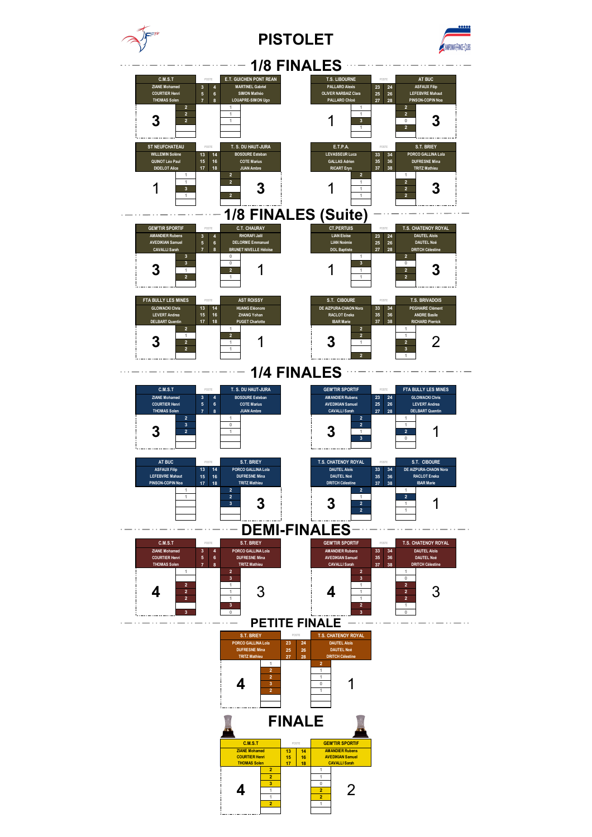